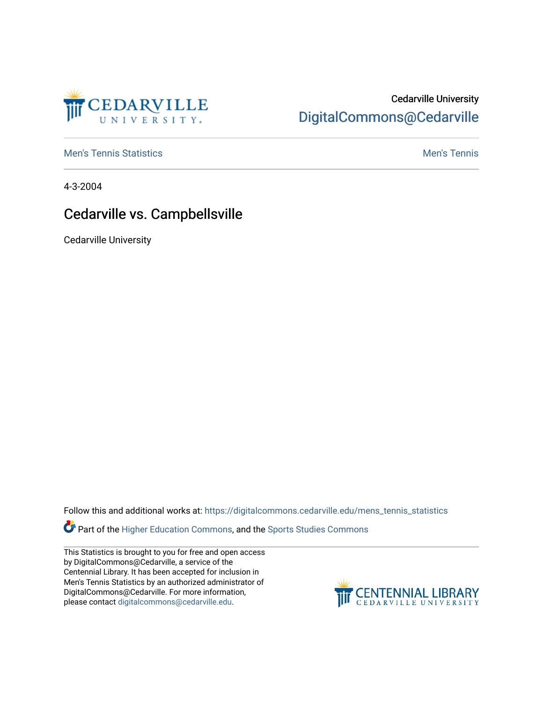

## Cedarville University [DigitalCommons@Cedarville](https://digitalcommons.cedarville.edu/)

**[Men's Tennis Statistics](https://digitalcommons.cedarville.edu/mens_tennis_statistics) Mental According to the Control of Control According Mental Men's Tennis** 

4-3-2004

## Cedarville vs. Campbellsville

Cedarville University

Follow this and additional works at: [https://digitalcommons.cedarville.edu/mens\\_tennis\\_statistics](https://digitalcommons.cedarville.edu/mens_tennis_statistics?utm_source=digitalcommons.cedarville.edu%2Fmens_tennis_statistics%2F570&utm_medium=PDF&utm_campaign=PDFCoverPages)

Part of the [Higher Education Commons,](http://network.bepress.com/hgg/discipline/1245?utm_source=digitalcommons.cedarville.edu%2Fmens_tennis_statistics%2F570&utm_medium=PDF&utm_campaign=PDFCoverPages) and the [Sports Studies Commons](http://network.bepress.com/hgg/discipline/1198?utm_source=digitalcommons.cedarville.edu%2Fmens_tennis_statistics%2F570&utm_medium=PDF&utm_campaign=PDFCoverPages) 

This Statistics is brought to you for free and open access by DigitalCommons@Cedarville, a service of the Centennial Library. It has been accepted for inclusion in Men's Tennis Statistics by an authorized administrator of DigitalCommons@Cedarville. For more information, please contact [digitalcommons@cedarville.edu](mailto:digitalcommons@cedarville.edu).